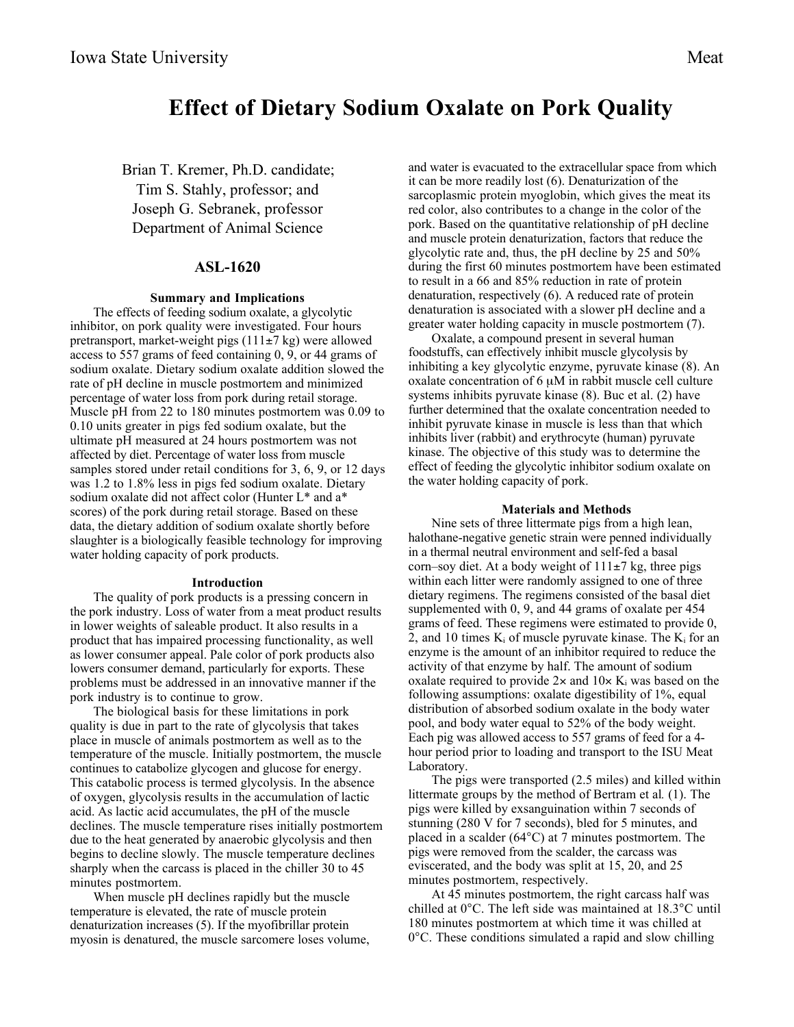# **Effect of Dietary Sodium Oxalate on Pork Quality**

Brian T. Kremer, Ph.D. candidate; Tim S. Stahly, professor; and Joseph G. Sebranek, professor Department of Animal Science

## **ASL-1620**

### **Summary and Implications**

The effects of feeding sodium oxalate, a glycolytic inhibitor, on pork quality were investigated. Four hours pretransport, market-weight pigs (111±7 kg) were allowed access to 557 grams of feed containing 0, 9, or 44 grams of sodium oxalate. Dietary sodium oxalate addition slowed the rate of pH decline in muscle postmortem and minimized percentage of water loss from pork during retail storage. Muscle pH from 22 to 180 minutes postmortem was 0.09 to 0.10 units greater in pigs fed sodium oxalate, but the ultimate pH measured at 24 hours postmortem was not affected by diet. Percentage of water loss from muscle samples stored under retail conditions for 3, 6, 9, or 12 days was 1.2 to 1.8% less in pigs fed sodium oxalate. Dietary sodium oxalate did not affect color (Hunter L\* and a\* scores) of the pork during retail storage. Based on these data, the dietary addition of sodium oxalate shortly before slaughter is a biologically feasible technology for improving water holding capacity of pork products.

#### **Introduction**

The quality of pork products is a pressing concern in the pork industry. Loss of water from a meat product results in lower weights of saleable product. It also results in a product that has impaired processing functionality, as well as lower consumer appeal. Pale color of pork products also lowers consumer demand, particularly for exports. These problems must be addressed in an innovative manner if the pork industry is to continue to grow.

The biological basis for these limitations in pork quality is due in part to the rate of glycolysis that takes place in muscle of animals postmortem as well as to the temperature of the muscle. Initially postmortem, the muscle continues to catabolize glycogen and glucose for energy. This catabolic process is termed glycolysis. In the absence of oxygen, glycolysis results in the accumulation of lactic acid. As lactic acid accumulates, the pH of the muscle declines. The muscle temperature rises initially postmortem due to the heat generated by anaerobic glycolysis and then begins to decline slowly. The muscle temperature declines sharply when the carcass is placed in the chiller 30 to 45 minutes postmortem.

When muscle pH declines rapidly but the muscle temperature is elevated, the rate of muscle protein denaturization increases (5). If the myofibrillar protein myosin is denatured, the muscle sarcomere loses volume, and water is evacuated to the extracellular space from which it can be more readily lost (6). Denaturization of the sarcoplasmic protein myoglobin, which gives the meat its red color, also contributes to a change in the color of the pork. Based on the quantitative relationship of pH decline and muscle protein denaturization, factors that reduce the glycolytic rate and, thus, the pH decline by 25 and 50% during the first 60 minutes postmortem have been estimated to result in a 66 and 85% reduction in rate of protein denaturation, respectively (6). A reduced rate of protein denaturation is associated with a slower pH decline and a greater water holding capacity in muscle postmortem (7).

Oxalate, a compound present in several human foodstuffs, can effectively inhibit muscle glycolysis by inhibiting a key glycolytic enzyme, pyruvate kinase (8). An oxalate concentration of  $6 \mu M$  in rabbit muscle cell culture systems inhibits pyruvate kinase (8). Buc et al. (2) have further determined that the oxalate concentration needed to inhibit pyruvate kinase in muscle is less than that which inhibits liver (rabbit) and erythrocyte (human) pyruvate kinase. The objective of this study was to determine the effect of feeding the glycolytic inhibitor sodium oxalate on the water holding capacity of pork.

#### **Materials and Methods**

Nine sets of three littermate pigs from a high lean, halothane-negative genetic strain were penned individually in a thermal neutral environment and self-fed a basal corn–soy diet. At a body weight of  $111\pm7$  kg, three pigs within each litter were randomly assigned to one of three dietary regimens. The regimens consisted of the basal diet supplemented with 0, 9, and 44 grams of oxalate per 454 grams of feed. These regimens were estimated to provide 0, 2, and 10 times  $K_i$  of muscle pyruvate kinase. The  $K_i$  for an enzyme is the amount of an inhibitor required to reduce the activity of that enzyme by half. The amount of sodium oxalate required to provide  $2\times$  and  $10\times$  K<sub>i</sub> was based on the following assumptions: oxalate digestibility of 1%, equal distribution of absorbed sodium oxalate in the body water pool, and body water equal to 52% of the body weight. Each pig was allowed access to 557 grams of feed for a 4 hour period prior to loading and transport to the ISU Meat Laboratory.

The pigs were transported (2.5 miles) and killed within littermate groups by the method of Bertram et al*.* (1). The pigs were killed by exsanguination within 7 seconds of stunning (280 V for 7 seconds), bled for 5 minutes, and placed in a scalder (64°C) at 7 minutes postmortem. The pigs were removed from the scalder, the carcass was eviscerated, and the body was split at 15, 20, and 25 minutes postmortem, respectively.

At 45 minutes postmortem, the right carcass half was chilled at 0°C. The left side was maintained at 18.3°C until 180 minutes postmortem at which time it was chilled at 0°C. These conditions simulated a rapid and slow chilling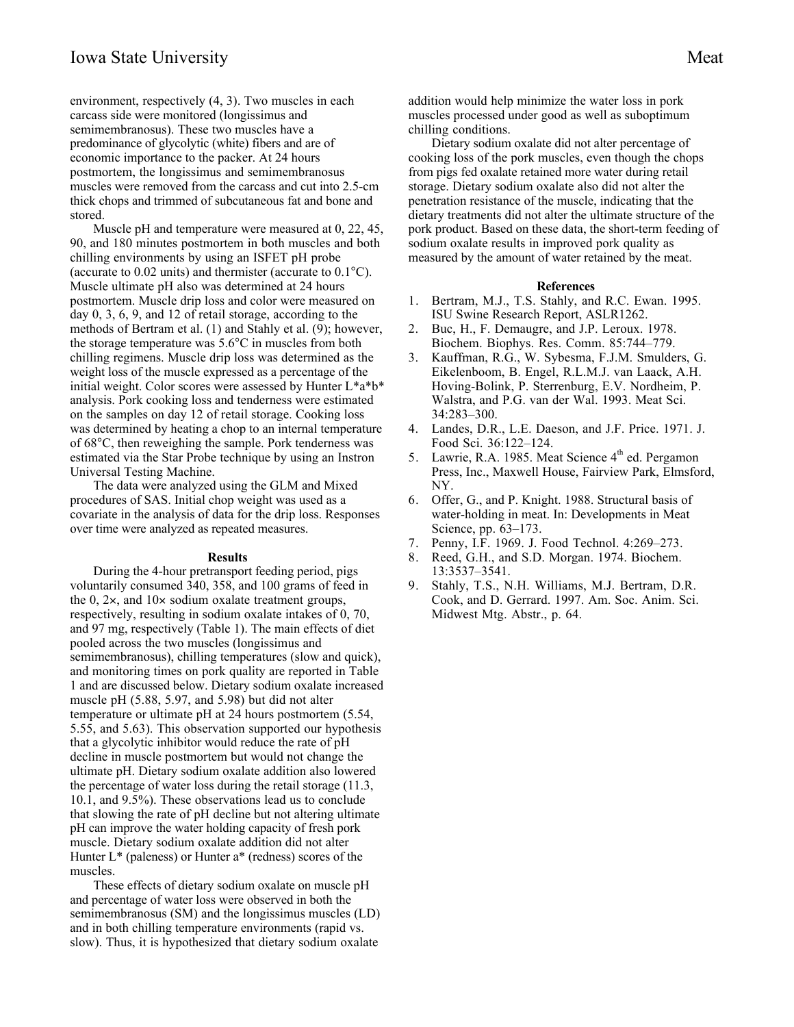environment, respectively (4, 3). Two muscles in each carcass side were monitored (longissimus and semimembranosus). These two muscles have a predominance of glycolytic (white) fibers and are of economic importance to the packer. At 24 hours postmortem, the longissimus and semimembranosus muscles were removed from the carcass and cut into 2.5-cm thick chops and trimmed of subcutaneous fat and bone and stored.

Muscle pH and temperature were measured at 0, 22, 45, 90, and 180 minutes postmortem in both muscles and both chilling environments by using an ISFET pH probe (accurate to 0.02 units) and thermister (accurate to 0.1°C). Muscle ultimate pH also was determined at 24 hours postmortem. Muscle drip loss and color were measured on day 0, 3, 6, 9, and 12 of retail storage, according to the methods of Bertram et al. (1) and Stahly et al. (9); however, the storage temperature was 5.6°C in muscles from both chilling regimens. Muscle drip loss was determined as the weight loss of the muscle expressed as a percentage of the initial weight. Color scores were assessed by Hunter L\*a\*b\* analysis. Pork cooking loss and tenderness were estimated on the samples on day 12 of retail storage. Cooking loss was determined by heating a chop to an internal temperature of 68°C, then reweighing the sample. Pork tenderness was estimated via the Star Probe technique by using an Instron Universal Testing Machine.

The data were analyzed using the GLM and Mixed procedures of SAS. Initial chop weight was used as a covariate in the analysis of data for the drip loss. Responses over time were analyzed as repeated measures.

#### **Results**

During the 4-hour pretransport feeding period, pigs voluntarily consumed 340, 358, and 100 grams of feed in the 0,  $2\times$ , and  $10\times$  sodium oxalate treatment groups, respectively, resulting in sodium oxalate intakes of 0, 70, and 97 mg, respectively (Table 1). The main effects of diet pooled across the two muscles (longissimus and semimembranosus), chilling temperatures (slow and quick), and monitoring times on pork quality are reported in Table 1 and are discussed below. Dietary sodium oxalate increased muscle pH (5.88, 5.97, and 5.98) but did not alter temperature or ultimate pH at 24 hours postmortem (5.54, 5.55, and 5.63). This observation supported our hypothesis that a glycolytic inhibitor would reduce the rate of pH decline in muscle postmortem but would not change the ultimate pH. Dietary sodium oxalate addition also lowered the percentage of water loss during the retail storage (11.3, 10.1, and 9.5%). These observations lead us to conclude that slowing the rate of pH decline but not altering ultimate pH can improve the water holding capacity of fresh pork muscle. Dietary sodium oxalate addition did not alter Hunter  $L^*$  (paleness) or Hunter  $a^*$  (redness) scores of the muscles.

These effects of dietary sodium oxalate on muscle pH and percentage of water loss were observed in both the semimembranosus (SM) and the longissimus muscles (LD) and in both chilling temperature environments (rapid vs. slow). Thus, it is hypothesized that dietary sodium oxalate

addition would help minimize the water loss in pork muscles processed under good as well as suboptimum chilling conditions.

Dietary sodium oxalate did not alter percentage of cooking loss of the pork muscles, even though the chops from pigs fed oxalate retained more water during retail storage. Dietary sodium oxalate also did not alter the penetration resistance of the muscle, indicating that the dietary treatments did not alter the ultimate structure of the pork product. Based on these data, the short-term feeding of sodium oxalate results in improved pork quality as measured by the amount of water retained by the meat.

#### **References**

- 1. Bertram, M.J., T.S. Stahly, and R.C. Ewan. 1995. ISU Swine Research Report, ASLR1262.
- 2. Buc, H., F. Demaugre, and J.P. Leroux. 1978. Biochem. Biophys. Res. Comm. 85:744–779.
- 3. Kauffman, R.G., W. Sybesma, F.J.M. Smulders, G. Eikelenboom, B. Engel, R.L.M.J. van Laack, A.H. Hoving-Bolink, P. Sterrenburg, E.V. Nordheim, P. Walstra, and P.G. van der Wal. 1993. Meat Sci. 34:283–300.
- 4. Landes, D.R., L.E. Daeson, and J.F. Price. 1971. J. Food Sci. 36:122–124.
- 5. Lawrie, R.A. 1985. Meat Science 4<sup>th</sup> ed. Pergamon Press, Inc., Maxwell House, Fairview Park, Elmsford, NY.
- 6. Offer, G., and P. Knight. 1988. Structural basis of water-holding in meat. In: Developments in Meat Science, pp. 63–173.
- 7. Penny, I.F. 1969. J. Food Technol. 4:269–273.
- 8. Reed, G.H., and S.D. Morgan. 1974. Biochem. 13:3537–3541.
- 9. Stahly, T.S., N.H. Williams, M.J. Bertram, D.R. Cook, and D. Gerrard. 1997. Am. Soc. Anim. Sci. Midwest Mtg. Abstr., p. 64.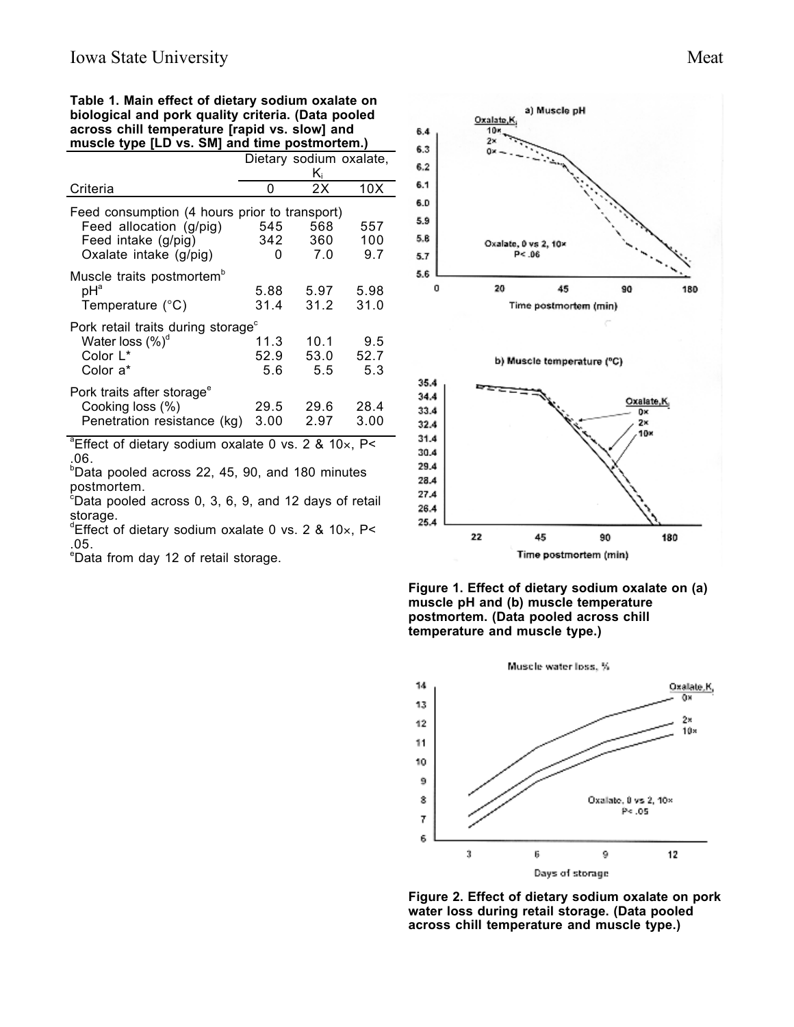**Table 1. Main effect of dietary sodium oxalate on biological and pork quality criteria. (Data pooled across chill temperature [rapid vs. slow] and muscle type [LD vs. SM] and time postmortem.)**

|                                                                 | Dietary sodium oxalate, |      |      |
|-----------------------------------------------------------------|-------------------------|------|------|
|                                                                 | $K_i$                   |      |      |
| Criteria                                                        | O                       | 2X   | 10X  |
| Feed consumption (4 hours prior to transport)                   |                         |      |      |
| Feed allocation (g/pig)                                         | 545                     | 568  | 557  |
| Feed intake (g/pig)                                             | 342                     | 360  | 100  |
| Oxalate intake (g/pig)                                          | O                       | 7.0  | 9.7  |
| Muscle traits postmortem <sup>b</sup>                           |                         |      |      |
| $pH^a$                                                          | 5.88                    | 5.97 | 5.98 |
| Temperature (°C)                                                | 31.4                    | 31.2 | 31.0 |
| Pork retail traits during storage <sup>c</sup>                  |                         |      |      |
| Water loss $(\%)^d$                                             | 11.3                    | 10.1 | 9.5  |
| Color L*                                                        | 52.9                    | 53.0 | 52.7 |
| Color a*                                                        | 5.6                     | 5.5  | 5.3  |
| Pork traits after storage <sup>e</sup>                          |                         |      |      |
| Cooking loss (%)                                                | 29.5                    | 29.6 | 28.4 |
| Penetration resistance (kg)                                     | 3.00                    | 2.97 | 3.00 |
| <sup>a</sup> Effect of dietary sodium oxalate 0 vs. 2 & 10x, P< |                         |      |      |

.06.

b Data pooled across 22, 45, 90, and 180 minutes postmortem. c Data pooled across 0, 3, 6, 9, and 12 days of retail

storage.

 $\mathrm{d}^{\mathrm{d}}$ Effect of dietary sodium oxalate 0 vs. 2 & 10 $\times$ , P< .05.

e Data from day 12 of retail storage.







**Figure 2. Effect of dietary sodium oxalate on pork water loss during retail storage. (Data pooled across chill temperature and muscle type.)**